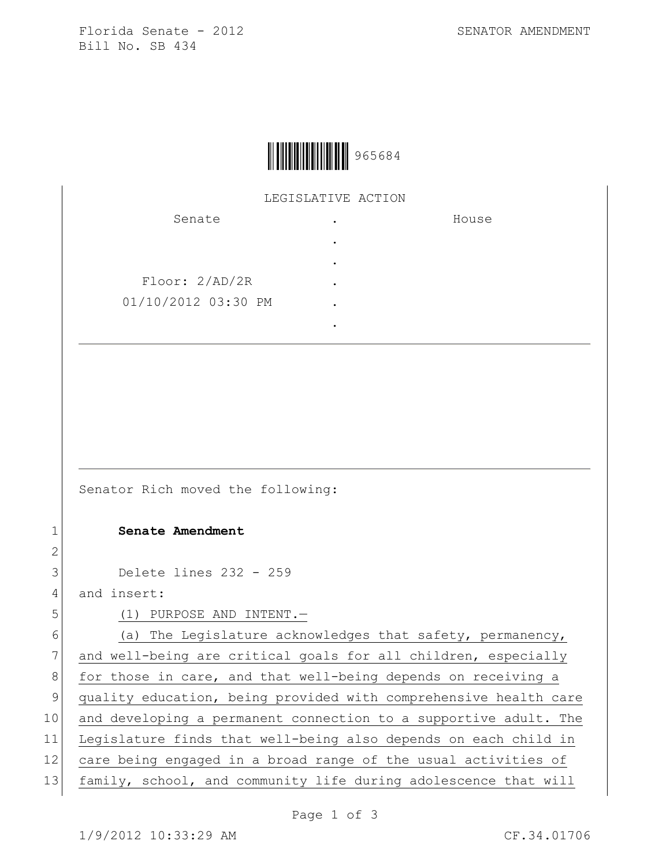Florida Senate - 2012 SENATOR AMENDMENT Bill No. SB 434



## LEGISLATIVE ACTION

| Senate              | ٠ | House |
|---------------------|---|-------|
|                     | ٠ |       |
|                     | ٠ |       |
| Floor: 2/AD/2R      | ٠ |       |
| 01/10/2012 03:30 PM | ٠ |       |
|                     | ٠ |       |

Senator Rich moved the following:

## 1 **Senate Amendment**

3 Delete lines 232 - 259

4 and insert:

2

5 (1) PURPOSE AND INTENT.

 $6$  (a) The Legislature acknowledges that safety, permanency, 7 and well-being are critical goals for all children, especially 8 for those in care, and that well-being depends on receiving a 9 quality education, being provided with comprehensive health care 10 and developing a permanent connection to a supportive adult. The 11 Legislature finds that well-being also depends on each child in 12 care being engaged in a broad range of the usual activities of 13 family, school, and community life during adolescence that will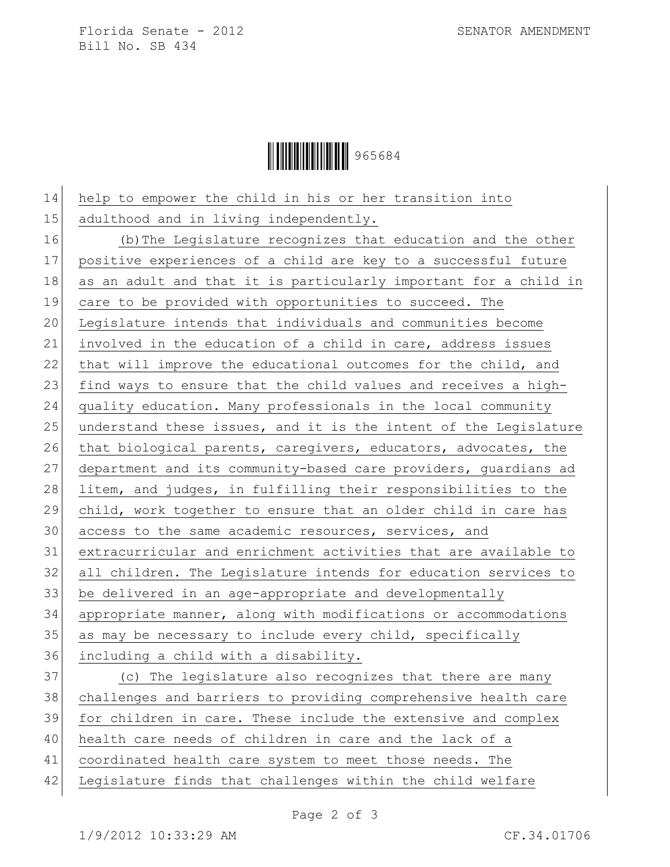Florida Senate - 2012 SENATOR AMENDMENT Bill No. SB 434

Ì965684QÎ965684

 help to empower the child in his or her transition into 15 adulthood and in living independently. (b)The Legislature recognizes that education and the other positive experiences of a child are key to a successful future 18 as an adult and that it is particularly important for a child in care to be provided with opportunities to succeed. The Legislature intends that individuals and communities become involved in the education of a child in care, address issues 22 that will improve the educational outcomes for the child, and 23 find ways to ensure that the child values and receives a high- quality education. Many professionals in the local community understand these issues, and it is the intent of the Legislature 26 that biological parents, caregivers, educators, advocates, the department and its community-based care providers, guardians ad 28 litem, and judges, in fulfilling their responsibilities to the child, work together to ensure that an older child in care has access to the same academic resources, services, and extracurricular and enrichment activities that are available to all children. The Legislature intends for education services to be delivered in an age-appropriate and developmentally appropriate manner, along with modifications or accommodations 35 as may be necessary to include every child, specifically including a child with a disability. (c) The legislature also recognizes that there are many challenges and barriers to providing comprehensive health care for children in care. These include the extensive and complex health care needs of children in care and the lack of a coordinated health care system to meet those needs. The Legislature finds that challenges within the child welfare

Page 2 of 3